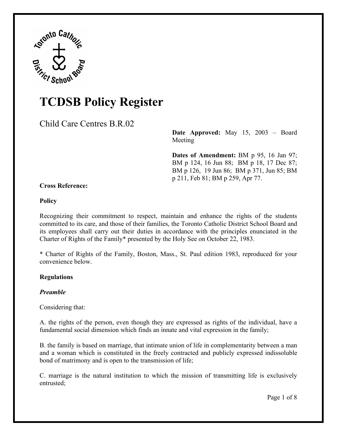

# **TCDSB Policy Register**

Child Care Centres B.R.02

**Date Approved:** May 15, 2003 – Board Meeting

**Dates of Amendment:** BM p 95, 16 Jan 97; BM p 124, 16 Jun 88; BM p 18, 17 Dec 87; BM p 126, 19 Jun 86; BM p 371, Jun 85; BM p 211, Feb 81; BM p 259, Apr 77.

**Cross Reference:** 

**Policy** 

Recognizing their commitment to respect, maintain and enhance the rights of the students committed to its care, and those of their families, the Toronto Catholic District School Board and its employees shall carry out their duties in accordance with the principles enunciated in the Charter of Rights of the Family\* presented by the Holy See on October 22, 1983.

\* Charter of Rights of the Family, Boston, Mass., St. Paul edition 1983, reproduced for your convenience below.

# **Regulations**

## *Preamble*

Considering that:

A. the rights of the person, even though they are expressed as rights of the individual, have a fundamental social dimension which finds an innate and vital expression in the family;

B. the family is based on marriage, that intimate union of life in complementarity between a man and a woman which is constituted in the freely contracted and publicly expressed indissoluble bond of matrimony and is open to the transmission of life;

C. marriage is the natural institution to which the mission of transmitting life is exclusively entrusted;

Page 1 of 8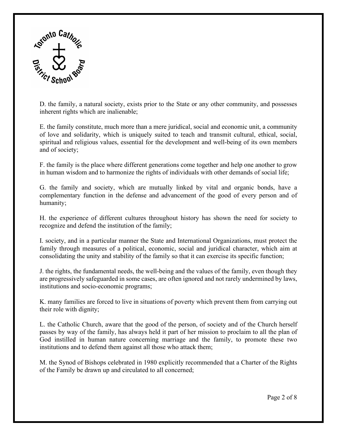

D. the family, a natural society, exists prior to the State or any other community, and possesses inherent rights which are inalienable;

E. the family constitute, much more than a mere juridical, social and economic unit, a community of love and solidarity, which is uniquely suited to teach and transmit cultural, ethical, social, spiritual and religious values, essential for the development and well-being of its own members and of society;

F. the family is the place where different generations come together and help one another to grow in human wisdom and to harmonize the rights of individuals with other demands of social life;

G. the family and society, which are mutually linked by vital and organic bonds, have a complementary function in the defense and advancement of the good of every person and of humanity;

H. the experience of different cultures throughout history has shown the need for society to recognize and defend the institution of the family;

I. society, and in a particular manner the State and International Organizations, must protect the family through measures of a political, economic, social and juridical character, which aim at consolidating the unity and stability of the family so that it can exercise its specific function;

J. the rights, the fundamental needs, the well-being and the values of the family, even though they are progressively safeguarded in some cases, are often ignored and not rarely undermined by laws, institutions and socio-economic programs;

K. many families are forced to live in situations of poverty which prevent them from carrying out their role with dignity;

L. the Catholic Church, aware that the good of the person, of society and of the Church herself passes by way of the family, has always held it part of her mission to proclaim to all the plan of God instilled in human nature concerning marriage and the family, to promote these two institutions and to defend them against all those who attack them;

M. the Synod of Bishops celebrated in 1980 explicitly recommended that a Charter of the Rights of the Family be drawn up and circulated to all concerned;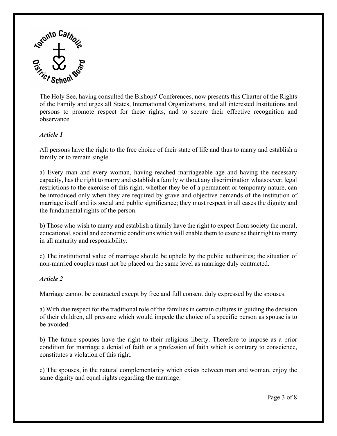

The Holy See, having consulted the Bishops' Conferences, now presents this Charter of the Rights of the Family and urges all States, International Organizations, and all interested Institutions and persons to promote respect for these rights, and to secure their effective recognition and observance.

#### *Article 1*

All persons have the right to the free choice of their state of life and thus to marry and establish a family or to remain single.

a) Every man and every woman, having reached marriageable age and having the necessary capacity, has the right to marry and establish a family without any discrimination whatsoever; legal restrictions to the exercise of this right, whether they be of a permanent or temporary nature, can be introduced only when they are required by grave and objective demands of the institution of marriage itself and its social and public significance; they must respect in all cases the dignity and the fundamental rights of the person.

b) Those who wish to marry and establish a family have the right to expect from society the moral, educational, social and economic conditions which will enable them to exercise their right to marry in all maturity and responsibility.

c) The institutional value of marriage should be upheld by the public authorities; the situation of non-married couples must not be placed on the same level as marriage duly contracted.

#### *Article 2*

Marriage cannot be contracted except by free and full consent duly expressed by the spouses.

a) With due respect for the traditional role of the families in certain cultures in guiding the decision of their children, all pressure which would impede the choice of a specific person as spouse is to be avoided.

b) The future spouses have the right to their religious liberty. Therefore to impose as a prior condition for marriage a denial of faith or a profession of faith which is contrary to conscience, constitutes a violation of this right.

c) The spouses, in the natural complementarity which exists between man and woman, enjoy the same dignity and equal rights regarding the marriage.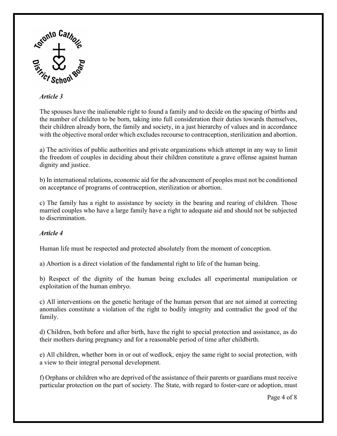

### *Article 3*

The spouses have the inalienable right to found a family and to decide on the spacing of births and the number of children to be born, taking into full consideration their duties towards themselves, their children already born, the family and society, in a just hierarchy of values and in accordance with the objective moral order which excludes recourse to contraception, sterilization and abortion.

a) The activities of public authorities and private organizations which attempt in any way to limit the freedom of couples in deciding about their children constitute a grave offense against human dignity and justice.

b) In international relations, economic aid for the advancement of peoples must not be conditioned on acceptance of programs of contraception, sterilization or abortion.

c) The family has a right to assistance by society in the bearing and rearing of children. Those married couples who have a large family have a right to adequate aid and should not be subjected to discrimination.

## *Article 4*

Human life must be respected and protected absolutely from the moment of conception.

a) Abortion is a direct violation of the fundamental right to life of the human being.

b) Respect of the dignity of the human being excludes all experimental manipulation or exploitation of the human embryo.

c) All interventions on the genetic heritage of the human person that are not aimed at correcting anomalies constitute a violation of the right to bodily integrity and contradict the good of the family.

d) Children, both before and after birth, have the right to special protection and assistance, as do their mothers during pregnancy and for a reasonable period of time after childbirth.

e) All children, whether born in or out of wedlock, enjoy the same right to social protection, with a view to their integral personal development.

f) Orphans or children who are deprived of the assistance of their parents or guardians must receive particular protection on the part of society. The State, with regard to foster-care or adoption, must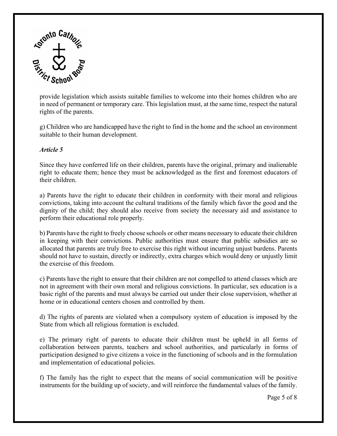

provide legislation which assists suitable families to welcome into their homes children who are in need of permanent or temporary care. This legislation must, at the same time, respect the natural rights of the parents.

g) Children who are handicapped have the right to find in the home and the school an environment suitable to their human development.

## *Article 5*

Since they have conferred life on their children, parents have the original, primary and inalienable right to educate them; hence they must be acknowledged as the first and foremost educators of their children.

a) Parents have the right to educate their children in conformity with their moral and religious convictions, taking into account the cultural traditions of the family which favor the good and the dignity of the child; they should also receive from society the necessary aid and assistance to perform their educational role properly.

b) Parents have the right to freely choose schools or other means necessary to educate their children in keeping with their convictions. Public authorities must ensure that public subsidies are so allocated that parents are truly free to exercise this right without incurring unjust burdens. Parents should not have to sustain, directly or indirectly, extra charges which would deny or unjustly limit the exercise of this freedom.

c) Parents have the right to ensure that their children are not compelled to attend classes which are not in agreement with their own moral and religious convictions. In particular, sex education is a basic right of the parents and must always be carried out under their close supervision, whether at home or in educational centers chosen and controlled by them.

d) The rights of parents are violated when a compulsory system of education is imposed by the State from which all religious formation is excluded.

e) The primary right of parents to educate their children must be upheld in all forms of collaboration between parents, teachers and school authorities, and particularly in forms of participation designed to give citizens a voice in the functioning of schools and in the formulation and implementation of educational policies.

f) The family has the right to expect that the means of social communication will be positive instruments for the building up of society, and will reinforce the fundamental values of the family.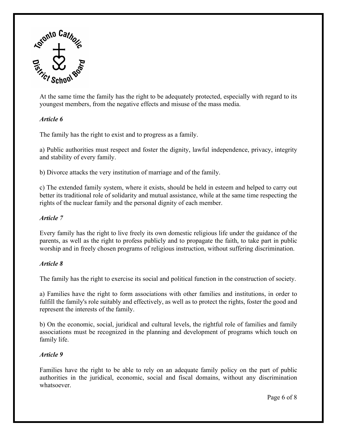

At the same time the family has the right to be adequately protected, especially with regard to its youngest members, from the negative effects and misuse of the mass media.

### *Article 6*

The family has the right to exist and to progress as a family.

a) Public authorities must respect and foster the dignity, lawful independence, privacy, integrity and stability of every family.

b) Divorce attacks the very institution of marriage and of the family.

c) The extended family system, where it exists, should be held in esteem and helped to carry out better its traditional role of solidarity and mutual assistance, while at the same time respecting the rights of the nuclear family and the personal dignity of each member.

#### *Article 7*

Every family has the right to live freely its own domestic religious life under the guidance of the parents, as well as the right to profess publicly and to propagate the faith, to take part in public worship and in freely chosen programs of religious instruction, without suffering discrimination.

#### *Article 8*

The family has the right to exercise its social and political function in the construction of society.

a) Families have the right to form associations with other families and institutions, in order to fulfill the family's role suitably and effectively, as well as to protect the rights, foster the good and represent the interests of the family.

b) On the economic, social, juridical and cultural levels, the rightful role of families and family associations must be recognized in the planning and development of programs which touch on family life.

#### *Article 9*

Families have the right to be able to rely on an adequate family policy on the part of public authorities in the juridical, economic, social and fiscal domains, without any discrimination whatsoever.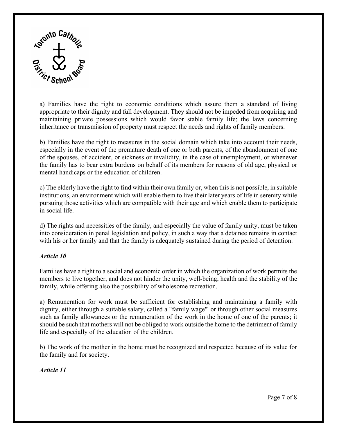

a) Families have the right to economic conditions which assure them a standard of living appropriate to their dignity and full development. They should not be impeded from acquiring and maintaining private possessions which would favor stable family life; the laws concerning inheritance or transmission of property must respect the needs and rights of family members.

b) Families have the right to measures in the social domain which take into account their needs, especially in the event of the premature death of one or both parents, of the abandonment of one of the spouses, of accident, or sickness or invalidity, in the case of unemployment, or whenever the family has to bear extra burdens on behalf of its members for reasons of old age, physical or mental handicaps or the education of children.

c) The elderly have the right to find within their own family or, when this is not possible, in suitable institutions, an environment which will enable them to live their later years of life in serenity while pursuing those activities which are compatible with their age and which enable them to participate in social life.

d) The rights and necessities of the family, and especially the value of family unity, must be taken into consideration in penal legislation and policy, in such a way that a detainee remains in contact with his or her family and that the family is adequately sustained during the period of detention.

## *Article 10*

Families have a right to a social and economic order in which the organization of work permits the members to live together, and does not hinder the unity, well-being, health and the stability of the family, while offering also the possibility of wholesome recreation.

a) Remuneration for work must be sufficient for establishing and maintaining a family with dignity, either through a suitable salary, called a "family wage'" or through other social measures such as family allowances or the remuneration of the work in the home of one of the parents; it should be such that mothers will not be obliged to work outside the home to the detriment of family life and especially of the education of the children.

b) The work of the mother in the home must be recognized and respected because of its value for the family and for society.

*Article 11*